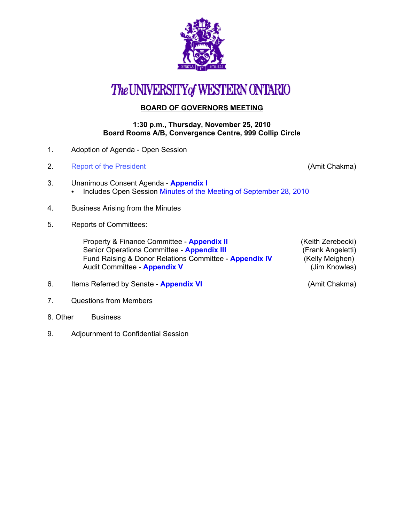

# The UNIVERSITY of WESTERN ONTARIO

### **BOARD OF GOVERNORS MEETING**

#### **1:30 p.m., Thursday, November 25, 2010 Board Rooms A/B, Convergence Centre, 999 Collip Circle**

- 1. Adoption of Agenda Open Session
- 2. [Report of the President](http://www.uwo.ca/univsec/board/minutes/2010/r1011_ac.pdf) **Chakma** (Amit Chakma)

- 3. Unanimous Consent Agenda **[Appendix I](http://www.uwo.ca/univsec/board/minutes/2010/r1011consent.pdf)**  • Includes Open Session [Minutes of the Meeting of September 28, 2010](http://www.uwo.ca/univsec/board/minutes/2010/m1009bg.pdf)
- 4. Business Arising from the Minutes
- 5. Reports of Committees:

Property & Finance Committee - **[Appendix II](http://www.uwo.ca/univsec/board/minutes/2010/r1011pf.pdf)** (Keith Zerebecki)<br>Senior Operations Committee - **Appendix III** (Frank Angeletti) Senior Operations Committee - **[Appendix III](http://www.uwo.ca/univsec/board/minutes/2010/r1011srops.pdf)** Fund Raising & Donor Relations Committee - **[Appendix IV](http://www.uwo.ca/univsec/board/minutes/2010/r1011frdrc.pdf)** (Kelly Meighen)<br>Audit Committee - **Appendix V** (Jim Knowles) Audit Committee - **[Appendix V](http://www.uwo.ca/univsec/board/minutes/2010/r1011audit.pdf)** 

- 6. Items Referred by Senate **[Appendix VI](http://www.uwo.ca/univsec/board/minutes/2010/r1011sen.pdf)** (Amit Chakma)
- 7. Questions from Members
- 8. Other Business
- 9. Adjournment to Confidential Session